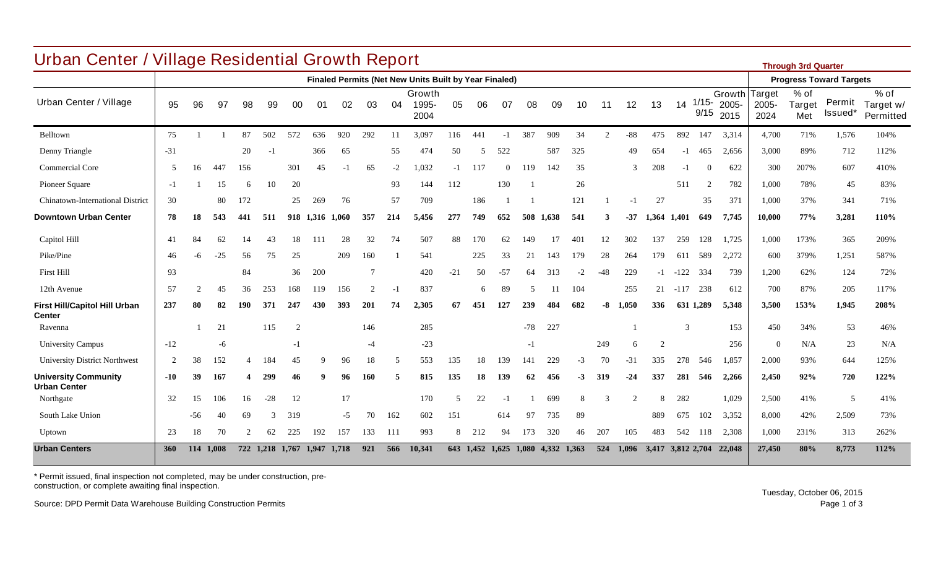| <b>Urban Center / Village Residential Growth Report</b><br><b>Through 3rd Quarter</b> |                |       |       |               |       |       |                 |       |      |      |                                                              |                          |           |          |       |             |      |             |               |       |                |                  |                                |                                |                         |                               |                                  |
|---------------------------------------------------------------------------------------|----------------|-------|-------|---------------|-------|-------|-----------------|-------|------|------|--------------------------------------------------------------|--------------------------|-----------|----------|-------|-------------|------|-------------|---------------|-------|----------------|------------------|--------------------------------|--------------------------------|-------------------------|-------------------------------|----------------------------------|
|                                                                                       |                |       |       |               |       |       |                 |       |      |      | <b>Finaled Permits (Net New Units Built by Year Finaled)</b> |                          |           |          |       |             |      |             |               |       |                |                  |                                | <b>Progress Toward Targets</b> |                         |                               |                                  |
| Urban Center / Village                                                                | 95             | 96    | 97    | 98            | 99    | 00    | 01              | 02    | 03   | -04  | Growth<br>1995-<br>2004                                      | 05                       | 06        | 07       | 08    | 09          | 10   | 11          | 12            | 13    | 14             | $1/15 -$<br>9/15 | Growth Target<br>2005-<br>2015 | 2005-<br>2024                  | $%$ of<br>Target<br>Met | Permit<br>Issued <sup>*</sup> | $%$ of<br>Target w/<br>Permitted |
| Belltown                                                                              | 75             |       |       | 87            | 502   | 572   | 636             | 920   | 292  | 11   | 3,097                                                        | 116                      | 441       | $-1$     | 387   | 909         | 34   | $2^{\circ}$ | $-88$         | 475   | 892            | 147              | 3,314                          | 4,700                          | 71%                     | 1,576                         | 104%                             |
| Denny Triangle                                                                        | $-31$          |       |       | 20            | $-1$  |       | 366             | 65    |      | 55   | 474                                                          | 50                       | .5        | 522      |       | 587         | 325  |             | 49            | 654   | $-1$           | 465              | 2,656                          | 3,000                          | 89%                     | 712                           | 112%                             |
| Commercial Core                                                                       | $\sim$         | 16    | 447   | 156           |       | 301   | 45              | $-1$  | 65   | $-2$ | 1,032                                                        | -1                       | 117       | $\Omega$ | 119   | 142         | 35   |             | $\mathcal{R}$ | 208   | $-1$           | $\theta$         | 622                            | 300                            | 207%                    | 607                           | 410%                             |
| Pioneer Square                                                                        | $-1$           |       | 15    | 6             | 10    | 20    |                 |       |      | 93   | 144                                                          | 112                      |           | 130      |       |             | 26   |             |               |       | 511            | $\overline{2}$   | 782                            | 1,000                          | 78%                     | 45                            | 83%                              |
| Chinatown-International District                                                      | 30             |       | 80    | 172           |       | 25    | 269             | 76    |      | 57   | 709                                                          |                          | 186       |          |       |             | 121  |             | -1            | 27    |                | 35               | 371                            | 1,000                          | 37%                     | 341                           | 71%                              |
| <b>Downtown Urban Center</b>                                                          | 78             | 18    | 543   | 441           | 511   |       | 918 1,316 1,060 |       | 357  | 214  | 5,456                                                        | 277                      | 749       | 652      | 508   | 1.638       | 541  | 3           | $-37$         | 1.364 | 1.401          | 649              | 7,745                          | 10,000                         | 77%                     | 3,281                         | 110%                             |
| Capitol Hill                                                                          | 41             | 84    | 62    | 14            | 43    | 18    | 111             | 28    | 32   | 74   | 507                                                          | 88                       | 170       | 62       | 149   | 17          | 401  | 12          | 302           | 137   | 259            | 128              | 1,725                          | 1,000                          | 173%                    | 365                           | 209%                             |
| Pike/Pine                                                                             | 46             | -6    | $-25$ | 56            | 75    | 25    |                 | 209   | 160  |      | 541                                                          |                          | 225       | 33       | 21    | 143         | 179  | 28          | 264           | 179   | 611            | 589              | 2,272                          | 600                            | 379%                    | 1,251                         | 587%                             |
| First Hill                                                                            | 93             |       |       | 84            |       | 36    | 200             |       | 7    |      | 420                                                          | $-21$                    | 50        | $-57$    | 64    | 313         | $-2$ | $-48$       | 229           | $-1$  | $-122$         | 334              | 739                            | 1,200                          | 62%                     | 124                           | 72%                              |
| 12th Avenue                                                                           | 57             |       | 45    | 36            | 253   | 168   | 119             | 156   | 2    | $-1$ | 837                                                          |                          | 6         | 89       | 5     | 11          | 104  |             | 255           | 21    | $-117$ 238     |                  | 612                            | 700                            | 87%                     | 205                           | 117%                             |
| <b>First Hill/Capitol Hill Urban</b><br><b>Center</b>                                 | 237            | 80    | 82    | 190           | 371   | 247   | 430             | 393   | 201  | 74   | 2,305                                                        | 67                       | 451       | 127      | 239   | 484         | 682  | -8          | 1.050         | 336   |                | 631 1,289        | 5.348                          | 3,500                          | 153%                    | 1,945                         | 208%                             |
| Ravenna                                                                               |                |       | 21    |               | 115   | 2     |                 |       | 146  |      | 285                                                          |                          |           |          | $-78$ | 227         |      |             |               |       | $\overline{3}$ |                  | 153                            | 450                            | 34%                     | 53                            | 46%                              |
| <b>University Campus</b>                                                              | $-12$          |       | -6    |               |       | $-1$  |                 |       | $-4$ |      | $-23$                                                        |                          |           |          | $-1$  |             |      | 249         | 6             | 2     |                |                  | 256                            | $\theta$                       | N/A                     | 23                            | N/A                              |
| <b>University District Northwest</b>                                                  | $\overline{2}$ | 38    | 152   |               | 184   | 45    |                 | 96    | 18   | 5    | 553                                                          | 135                      | 18        | 139      | 141   | 229         | $-3$ | 70          | $-31$         | 335   | 278            | 546              | 1,857                          | 2,000                          | 93%                     | 644                           | 125%                             |
| <b>University Community</b><br><b>Urban Center</b>                                    | -10            | 39    | 167   |               | 299   | 46    |                 | 96    | 160  | 5    | 815                                                          | 135                      | 18        | 139      | 62    | 456         | $-3$ | 319         | $-24$         | 337   | 281            | 546              | 2,266                          | 2,450                          | 92%                     | 720                           | 122%                             |
| Northgate                                                                             | 32             | 15    | 106   | 16            | $-28$ | 12    |                 | 17    |      |      | 170                                                          | $\overline{\mathcal{L}}$ | 22        | - i      |       | 699         | 8    |             | $\mathcal{L}$ | 8     | 282            |                  | 1,029                          | 2,500                          | 41%                     | -5                            | 41%                              |
| South Lake Union                                                                      |                | $-56$ | 40    | 69            | 3     | 319   |                 | $-5$  | 70   | 162  | 602                                                          | 151                      |           | 614      | 97    | 735         | 89   |             |               | 889   | 675            | 102              | 3,352                          | 8,000                          | 42%                     | 2,509                         | 73%                              |
| Uptown                                                                                | 23             | 18    | 70    | $\mathcal{L}$ | 62    | 225   | 192             | 157   | 133  | 111  | 993                                                          | 8                        | 212       | 94       | 173   | 320         | 46   | 207         | 105           | 483   | 542            | -118             | 2,308                          | 1,000                          | 231%                    | 313                           | 262%                             |
| <b>Urban Centers</b>                                                                  | 360            | 114   | 1.008 | 722           | 1.218 | 1,767 | 1.947           | 1.718 | 921  | 566  | 10,341                                                       |                          | 643 1.452 | 1,625    | 1.080 | 4,332 1,363 |      | 524         | 1.096         | 3,417 | 3,812 2,704    |                  | 22,048                         | 27,450                         | 80%                     | 8.773                         | 112%                             |

\* Permit issued, final inspection not completed, may be under construction, preconstruction, or complete awaiting final inspection.

Source: DPD Permit Data Warehouse Building Construction Permits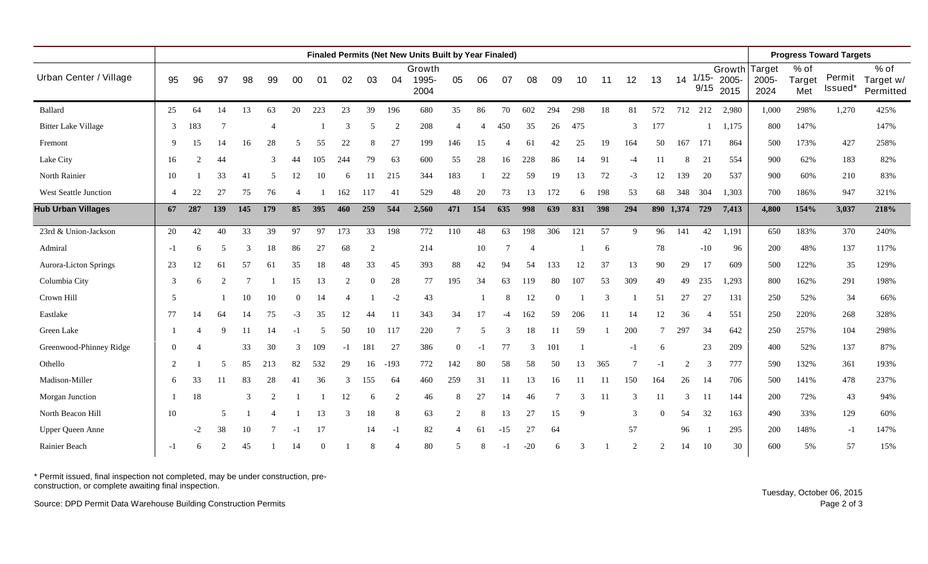|                            |          |                |                             |               |                |               |     |               |                |                             | Finaled Permits (Net New Units Built by Year Finaled) |                             |                          |                |                |          |     |     |      |                |           |                  |                         |                         |                       | <b>Progress Toward Targets</b> |                                  |
|----------------------------|----------|----------------|-----------------------------|---------------|----------------|---------------|-----|---------------|----------------|-----------------------------|-------------------------------------------------------|-----------------------------|--------------------------|----------------|----------------|----------|-----|-----|------|----------------|-----------|------------------|-------------------------|-------------------------|-----------------------|--------------------------------|----------------------------------|
| Urban Center / Village     | 95       | 96             | 97                          | 98            | 99             | 00            | 01  | 02            | 03             | 04                          | Growth<br>1995-<br>2004                               | 05                          | 06                       | 07             | 08             | 09       | 10  | 11  | 12   | 13             | 14        | $1/15 -$<br>9/15 | Growth<br>2005-<br>2015 | Target<br>2005-<br>2024 | % of<br>Target<br>Met | Permit<br>Issued*              | $%$ of<br>Target w/<br>Permitted |
| Ballard                    | 25       | 64             | 14                          | 13            | 63             | 20            | 223 | 23            | 39             | 196                         | 680                                                   | 35                          | 86                       | 70             | 602            | 294      | 298 | 18  | 81   | 572            | 712       | 212              | 2,980                   | 1,000                   | 298%                  | 1,270                          | 425%                             |
| <b>Bitter Lake Village</b> | 3        | 183            | 7                           |               | $\overline{4}$ |               |     | $\mathcal{R}$ | 5              | $\mathcal{D}_{\mathcal{L}}$ | 208                                                   | $\overline{4}$              |                          | 450            | 35             | 26       | 475 |     | 3    | 177            |           |                  | 1,175                   | 800                     | 147%                  |                                | 147%                             |
| Fremont                    | 9        | 15             | 14                          | 16            | 28             |               | 55  | 22            | 8              | 27                          | 199                                                   | 146                         | 15                       |                | 61             | 42       | 25  | 19  | 164  | 50             | 167       | 171              | 864                     | 500                     | 173%                  | 427                            | 258%                             |
| Lake City                  | 16       | $\overline{2}$ | 44                          |               | 3              | 44            | 105 | 244           | 79             | 63                          | 600                                                   | 55                          | 28                       | 16             | 228            | 86       | 14  | 91  | $-4$ | 11             | 8         | 21               | 554                     | 900                     | 62%                   | 183                            | 82%                              |
| North Rainier              | 10       |                | 33                          | 41            | 5              | 12            | 10  | 6             | 11             | 215                         | 344                                                   | 183                         |                          | 22             | 59             | 19       | 13  | 72  | $-3$ | 12             | 139       | 20               | 537                     | 900                     | 60%                   | 210                            | 83%                              |
| West Seattle Junction      | 4        | 22             | 27                          | 75            | 76             |               |     | 162           | 117            | 41                          | 529                                                   | 48                          | 20                       | 73             | 13             | 172      | 6   | 198 | 53   | 68             | 348       | 304              | 1,303                   | 700                     | 186%                  | 947                            | 321%                             |
| <b>Hub Urban Villages</b>  | 67       | 287            | 139                         | 145           | 179            | 85            | 395 | 460           | 259            | 544                         | 2,560                                                 | 471                         | 154                      | 635            | 998            | 639      | 831 | 398 | 294  |                | 890 1,374 | 729              | 7,413                   | 4,800                   | 154%                  | 3,037                          | 218%                             |
| 23rd & Union-Jackson       | 20       | 42             | 40                          | 33            | 39             | 97            | 97  | 173           | 33             | 198                         | 772                                                   | 110                         | 48                       | 63             | 198            | 306      | 121 | 57  | 9    | 96             | 141       | 42               | 1,191                   | 650                     | 183%                  | 370                            | 240%                             |
| Admiral                    | $-1$     | 6              |                             | $\mathcal{R}$ | 18             | 86            | 27  | 68            | $\overline{2}$ |                             | 214                                                   |                             | 10                       | $\overline{7}$ | $\overline{4}$ |          |     | 6   |      | 78             |           | $-10$            | 96                      | 200                     | 48%                   | 137                            | 117%                             |
| Aurora-Licton Springs      | 23       | 12             | 61                          | 57            | 61             | 35            | 18  | 48            | 33             | 45                          | 393                                                   | 88                          | 42                       | 94             | 54             | 133      | 12  | 37  | 13   | 90             | 29        | 17               | 609                     | 500                     | 122%                  | 35                             | 129%                             |
| Columbia City              | 3        | 6              |                             |               |                | 15            | 13  |               | 0              | 28                          | 77                                                    | 195                         | 34                       | 63             | 119            | 80       | 107 | 53  | 309  | 49             | 49        | 235              | 1,293                   | 800                     | 162%                  | 291                            | 198%                             |
| Crown Hill                 | 5        |                |                             | 10            | 10             | $\Omega$      | 14  |               |                | $-2$                        | 43                                                    |                             |                          | 8              | 12             | $\Omega$ |     | 3   |      | 51             | 27        | 27               | 131                     | 250                     | 52%                   | 34                             | 66%                              |
| Eastlake                   | 77       | 14             | 64                          | 14            | 75             | $-3$          | 35  | 12            | 44             | -11                         | 343                                                   | 34                          | 17                       |                | 162            | 59       | 206 |     | 14   | 12             | 36        |                  | 551                     | 250                     | 220%                  | 268                            | 328%                             |
| Green Lake                 |          |                | 9                           | 11            | 14             | $-1$          | .5  | 50            | 10             | 117                         | 220                                                   | 7                           | $\overline{\phantom{1}}$ | 3              | 18             | 11       | 59  |     | 200  |                | 297       | 34               | 642                     | 250                     | 257%                  | 104                            | 298%                             |
| Greenwood-Phinney Ridge    | $\Omega$ |                |                             | 33            | 30             | $\mathcal{R}$ | 109 | $-1$          | 181            | 27                          | 386                                                   | $\overline{0}$              | $-1$                     | 77             | $\mathcal{R}$  | 101      |     |     | $-1$ | -6             |           | 23               | 209                     | 400                     | 52%                   | 137                            | 87%                              |
| Othello                    | 2        |                | 5                           | 85            | 213            | 82            | 532 | 29            | 16             | $-193$                      | 772                                                   | 142                         | 80                       | 58             | 58             | 50       | 13  | 365 | 7    | -1             | 2         | 3                | 777                     | 590                     | 132%                  | 361                            | 193%                             |
| Madison-Miller             | 6        | 33             | 11                          | 83            | 28             | 41            | 36  | $\mathcal{F}$ | 155            | 64                          | 460                                                   | 259                         | 31                       | 11             | 13             | 16       | 11  | 11  | 150  | 164            | 26        | 14               | 706                     | 500                     | 141%                  | 478                            | 237%                             |
| Morgan Junction            |          | 18             |                             | 3             | $\overline{2}$ |               |     | 12            | 6              | 2                           | 46                                                    | 8                           | 27                       | 14             | 46             |          |     | -11 | 3    | 11             | 3         | -11              | 144                     | 200                     | 72%                   | 43                             | 94%                              |
| North Beacon Hill          | 10       |                | 5                           |               |                |               | 13  |               | 18             | 8                           | 63                                                    | $\overline{c}$              |                          | 13             | 27             | 15       |     |     | 3    |                | 54        | 32               | 163                     | 490                     | 33%                   | 129                            | 60%                              |
| Upper Queen Anne           |          | -2             | 38                          | 10            |                |               | 17  |               | 14             | $-1$                        | 82                                                    | $\boldsymbol{\vartriangle}$ | 61                       | $-15$          | 27             | 64       |     |     | 57   |                | 96        |                  | 295                     | 200                     | 148%                  | $-1$                           | 147%                             |
| Rainier Beach              | $-1$     | 6              | $\mathcal{D}_{\mathcal{L}}$ | 45            |                | 14            |     |               | 8              |                             | 80                                                    | 5                           |                          |                | $-20$          | 6        |     |     | 2    | $\overline{2}$ | 14        | 10               | 30                      | 600                     | 5%                    | 57                             | 15%                              |

\* Permit issued, final inspection not completed, may be under construction, preconstruction, or complete awaiting final inspection.

Source: DPD Permit Data Warehouse Building Construction Permits

Tuesday, October 06, 2015 Page 2 of 3